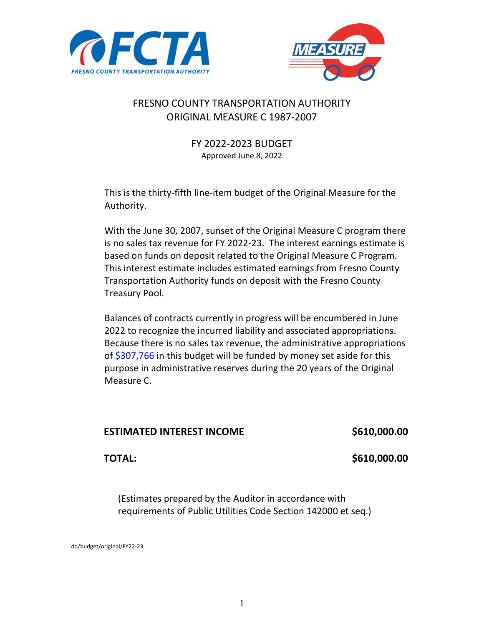



#### FRESNO COUNTY TRANSPORTATION AUTHORITY ORIGINAL MEASURE C 1987-2007

FY 2022-2023 BUDGET Approved June 8, 2022

This is the thirty-fifth line-item budget of the Original Measure for the Authority.

With the June 30, 2007, sunset of the Original Measure C program there is no sales tax revenue for FY 2022-23. The interest earnings estimate is based on funds on deposit related to the Original Measure C Program. This interest estimate includes estimated earnings from Fresno County Transportation Authority funds on deposit with the Fresno County Treasury Pool.

Balances of contracts currently in progress will be encumbered in June 2022 to recognize the incurred liability and associated appropriations. Because there is no sales tax revenue, the administrative appropriations of \$307,766 in this budget will be funded by money set aside for this purpose in administrative reserves during the 20 years of the Original Measure C.

#### **ESTIMATED INTEREST INCOME** \$610,000.00

**TOTAL: \$610,000.00**

(Estimates prepared by the Auditor in accordance with requirements of Public Utilities Code Section 142000 et seq.)

dd/budget/original/FY22-23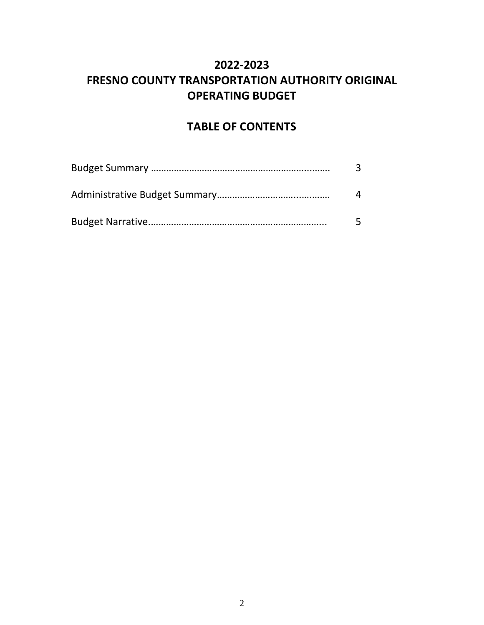## **2022-2023 FRESNO COUNTY TRANSPORTATION AUTHORITY ORIGINAL OPERATING BUDGET**

## **TABLE OF CONTENTS**

| 3  |
|----|
|    |
| 5. |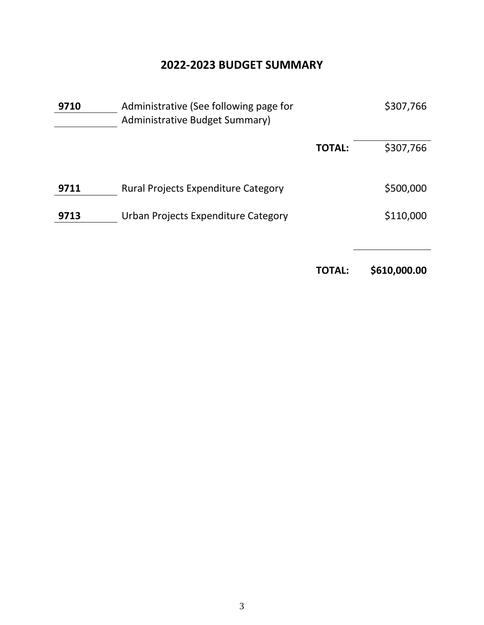## **2022-2023 BUDGET SUMMARY**

| 9710 | Administrative (See following page for<br>Administrative Budget Summary) |               | \$307,766 |
|------|--------------------------------------------------------------------------|---------------|-----------|
|      |                                                                          | <b>TOTAL:</b> | \$307,766 |
| 9711 | <b>Rural Projects Expenditure Category</b>                               |               | \$500,000 |
| 9713 | Urban Projects Expenditure Category                                      |               | \$110,000 |
|      |                                                                          |               |           |

**TOTAL: \$610,000.00**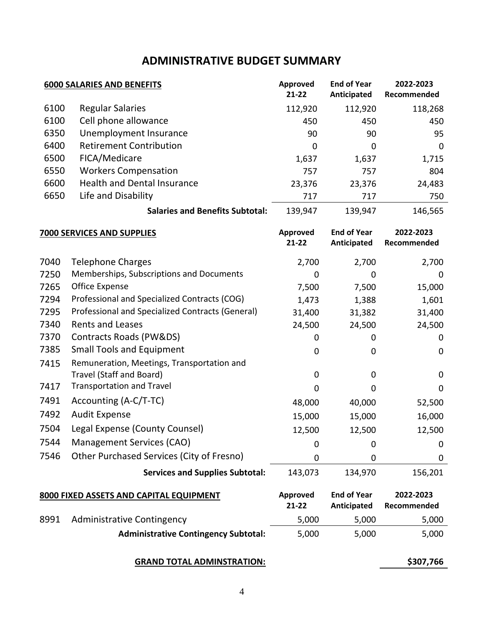#### **ADMINISTRATIVE BUDGET SUMMARY**

|      | <b>6000 SALARIES AND BENEFITS</b>                | Approved<br>$21 - 22$        | <b>End of Year</b><br>Anticipated | 2022-2023<br>Recommended |
|------|--------------------------------------------------|------------------------------|-----------------------------------|--------------------------|
| 6100 | <b>Regular Salaries</b>                          | 112,920                      | 112,920                           | 118,268                  |
| 6100 | Cell phone allowance                             | 450                          | 450                               | 450                      |
| 6350 | Unemployment Insurance                           | 90                           | 90                                | 95                       |
| 6400 | <b>Retirement Contribution</b>                   | 0                            | $\mathbf 0$                       | $\mathbf 0$              |
| 6500 | FICA/Medicare                                    | 1,637                        | 1,637                             | 1,715                    |
| 6550 | <b>Workers Compensation</b>                      | 757                          | 757                               | 804                      |
| 6600 | <b>Health and Dental Insurance</b>               | 23,376                       | 23,376                            | 24,483                   |
| 6650 | Life and Disability                              | 717                          | 717                               | 750                      |
|      | <b>Salaries and Benefits Subtotal:</b>           | 139,947                      | 139,947                           | 146,565                  |
|      | <b>7000 SERVICES AND SUPPLIES</b>                | <b>Approved</b><br>$21 - 22$ | <b>End of Year</b><br>Anticipated | 2022-2023<br>Recommended |
| 7040 | <b>Telephone Charges</b>                         | 2,700                        | 2,700                             | 2,700                    |
| 7250 | Memberships, Subscriptions and Documents         | $\mathbf 0$                  | 0                                 | 0                        |
| 7265 | Office Expense                                   | 7,500                        | 7,500                             | 15,000                   |
| 7294 | Professional and Specialized Contracts (COG)     | 1,473                        | 1,388                             | 1,601                    |
| 7295 | Professional and Specialized Contracts (General) | 31,400                       | 31,382                            | 31,400                   |
| 7340 | <b>Rents and Leases</b>                          | 24,500                       | 24,500                            | 24,500                   |
| 7370 | Contracts Roads (PW&DS)                          | 0                            | 0                                 | 0                        |
| 7385 | <b>Small Tools and Equipment</b>                 | $\mathbf 0$                  | $\mathbf 0$                       | $\mathbf 0$              |
| 7415 | Remuneration, Meetings, Transportation and       |                              |                                   |                          |
|      | Travel (Staff and Board)                         | $\mathbf 0$                  | $\mathbf 0$                       | 0                        |
| 7417 | <b>Transportation and Travel</b>                 | $\Omega$                     | $\Omega$                          | $\Omega$                 |
| 7491 | Accounting (A-C/T-TC)                            | 48,000                       | 40,000                            | 52,500                   |
| 7492 | <b>Audit Expense</b>                             | 15,000                       | 15,000                            | 16,000                   |
| 7504 | Legal Expense (County Counsel)                   | 12,500                       | 12,500                            | 12,500                   |
| 7544 | <b>Management Services (CAO)</b>                 | $\mathbf 0$                  | 0                                 | 0                        |
| 7546 | Other Purchased Services (City of Fresno)        | $\mathbf 0$                  | $\mathbf 0$                       | $\mathbf 0$              |
|      | <b>Services and Supplies Subtotal:</b>           | 143,073                      | 134,970                           | 156,201                  |

|      | 8000 FIXED ASSETS AND CAPITAL EQUIPMENT     | Approved  | <b>End of Year</b> | 2022-2023   |
|------|---------------------------------------------|-----------|--------------------|-------------|
|      |                                             | $21 - 22$ | Anticipated        | Recommended |
| 8991 | <b>Administrative Contingency</b>           | 5.000     | 5.000              | 5,000       |
|      | <b>Administrative Contingency Subtotal:</b> | 5,000     | 5,000              | 5,000       |

#### **GRAND TOTAL ADMINSTRATION: \$307,766**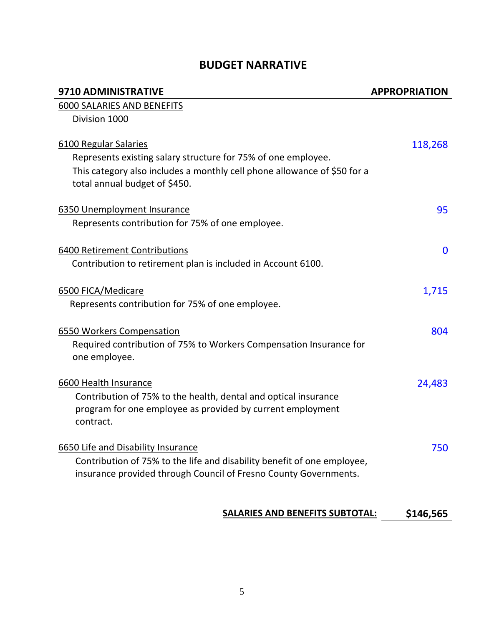## **BUDGET NARRATIVE**

| 9710 ADMINISTRATIVE                                                                           | <b>APPROPRIATION</b> |
|-----------------------------------------------------------------------------------------------|----------------------|
| 6000 SALARIES AND BENEFITS                                                                    |                      |
| Division 1000                                                                                 |                      |
| 6100 Regular Salaries                                                                         | 118,268              |
| Represents existing salary structure for 75% of one employee.                                 |                      |
| This category also includes a monthly cell phone allowance of \$50 for a                      |                      |
| total annual budget of \$450.                                                                 |                      |
| 6350 Unemployment Insurance                                                                   | 95                   |
| Represents contribution for 75% of one employee.                                              |                      |
|                                                                                               |                      |
| 6400 Retirement Contributions<br>Contribution to retirement plan is included in Account 6100. | $\bf{0}$             |
|                                                                                               |                      |
| 6500 FICA/Medicare                                                                            | 1,715                |
| Represents contribution for 75% of one employee.                                              |                      |
| <b>6550 Workers Compensation</b>                                                              | 804                  |
| Required contribution of 75% to Workers Compensation Insurance for                            |                      |
| one employee.                                                                                 |                      |
| 6600 Health Insurance                                                                         | 24,483               |
| Contribution of 75% to the health, dental and optical insurance                               |                      |
| program for one employee as provided by current employment                                    |                      |
| contract.                                                                                     |                      |
| 6650 Life and Disability Insurance                                                            | 750                  |
| Contribution of 75% to the life and disability benefit of one employee,                       |                      |
| insurance provided through Council of Fresno County Governments.                              |                      |

## **SALARIES AND BENEFITS SUBTOTAL:** \$146,565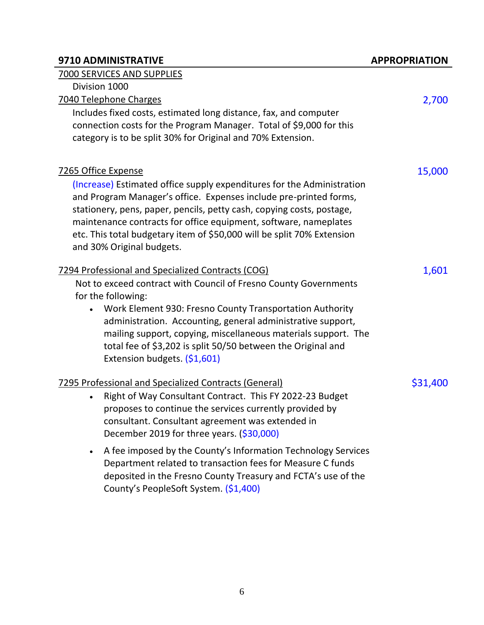#### **9710 ADMINISTRATIVE APPROPRIATION**

| 7000 SERVICES AND SUPPLIES                                                                                                                                                                                                                                                                                                                                                                      |          |
|-------------------------------------------------------------------------------------------------------------------------------------------------------------------------------------------------------------------------------------------------------------------------------------------------------------------------------------------------------------------------------------------------|----------|
| Division 1000                                                                                                                                                                                                                                                                                                                                                                                   |          |
| 7040 Telephone Charges                                                                                                                                                                                                                                                                                                                                                                          | 2,700    |
| Includes fixed costs, estimated long distance, fax, and computer<br>connection costs for the Program Manager. Total of \$9,000 for this<br>category is to be split 30% for Original and 70% Extension.                                                                                                                                                                                          |          |
| 7265 Office Expense                                                                                                                                                                                                                                                                                                                                                                             | 15,000   |
| (Increase) Estimated office supply expenditures for the Administration<br>and Program Manager's office. Expenses include pre-printed forms,<br>stationery, pens, paper, pencils, petty cash, copying costs, postage,<br>maintenance contracts for office equipment, software, nameplates<br>etc. This total budgetary item of \$50,000 will be split 70% Extension<br>and 30% Original budgets. |          |
| 7294 Professional and Specialized Contracts (COG)                                                                                                                                                                                                                                                                                                                                               | 1,601    |
| Not to exceed contract with Council of Fresno County Governments<br>for the following:                                                                                                                                                                                                                                                                                                          |          |
| Work Element 930: Fresno County Transportation Authority<br>$\bullet$<br>administration. Accounting, general administrative support,<br>mailing support, copying, miscellaneous materials support. The<br>total fee of \$3,202 is split 50/50 between the Original and<br>Extension budgets. (\$1,601)                                                                                          |          |
| 7295 Professional and Specialized Contracts (General)                                                                                                                                                                                                                                                                                                                                           | \$31,400 |
| Right of Way Consultant Contract. This FY 2022-23 Budget<br>$\bullet$<br>proposes to continue the services currently provided by<br>consultant. Consultant agreement was extended in<br>December 2019 for three years. (\$30,000)                                                                                                                                                               |          |
| A fee imposed by the County's Information Technology Services<br>$\bullet$<br>Department related to transaction fees for Measure C funds<br>deposited in the Fresno County Treasury and FCTA's use of the<br>County's PeopleSoft System. (\$1,400)                                                                                                                                              |          |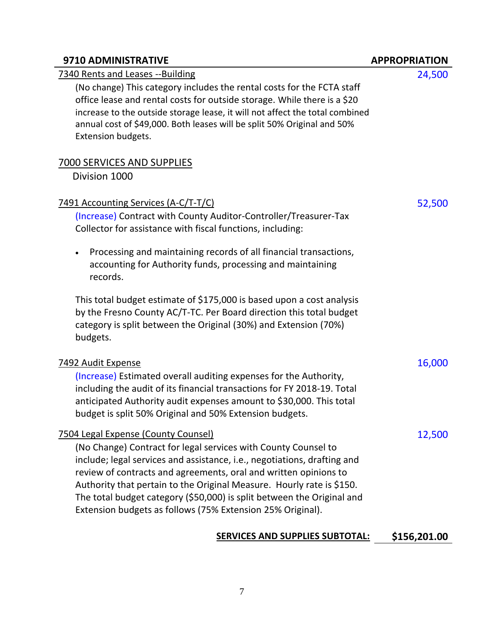| 9710 ADMINISTRATIVE                                                                                   | <b>APPROPRIATION</b> |
|-------------------------------------------------------------------------------------------------------|----------------------|
| 7340 Rents and Leases --Building                                                                      | 24,500               |
| (No change) This category includes the rental costs for the FCTA staff                                |                      |
| office lease and rental costs for outside storage. While there is a \$20                              |                      |
| increase to the outside storage lease, it will not affect the total combined                          |                      |
| annual cost of \$49,000. Both leases will be split 50% Original and 50%                               |                      |
| Extension budgets.                                                                                    |                      |
| 7000 SERVICES AND SUPPLIES                                                                            |                      |
| Division 1000                                                                                         |                      |
|                                                                                                       |                      |
| <u>7491 Accounting Services (A-C/T-T/C)</u>                                                           | 52,500               |
| (Increase) Contract with County Auditor-Controller/Treasurer-Tax                                      |                      |
| Collector for assistance with fiscal functions, including:                                            |                      |
| Processing and maintaining records of all financial transactions,<br>$\bullet$                        |                      |
| accounting for Authority funds, processing and maintaining                                            |                      |
| records.                                                                                              |                      |
| This total budget estimate of \$175,000 is based upon a cost analysis                                 |                      |
| by the Fresno County AC/T-TC. Per Board direction this total budget                                   |                      |
| category is split between the Original (30%) and Extension (70%)                                      |                      |
| budgets.                                                                                              |                      |
| 7492 Audit Expense                                                                                    | 16,000               |
| (Increase) Estimated overall auditing expenses for the Authority,                                     |                      |
| including the audit of its financial transactions for FY 2018-19. Total                               |                      |
| anticipated Authority audit expenses amount to \$30,000. This total                                   |                      |
| budget is split 50% Original and 50% Extension budgets.                                               |                      |
|                                                                                                       |                      |
| 7504 Legal Expense (County Counsel)<br>(No Change) Contract for legal services with County Counsel to | 12,500               |
| include; legal services and assistance, i.e., negotiations, drafting and                              |                      |
| review of contracts and agreements, oral and written opinions to                                      |                      |
| Authority that pertain to the Original Measure. Hourly rate is \$150.                                 |                      |
| The total budget category (\$50,000) is split between the Original and                                |                      |
| Extension budgets as follows (75% Extension 25% Original).                                            |                      |
|                                                                                                       |                      |

## **SERVICES AND SUPPLIES SUBTOTAL: \$156,201.00**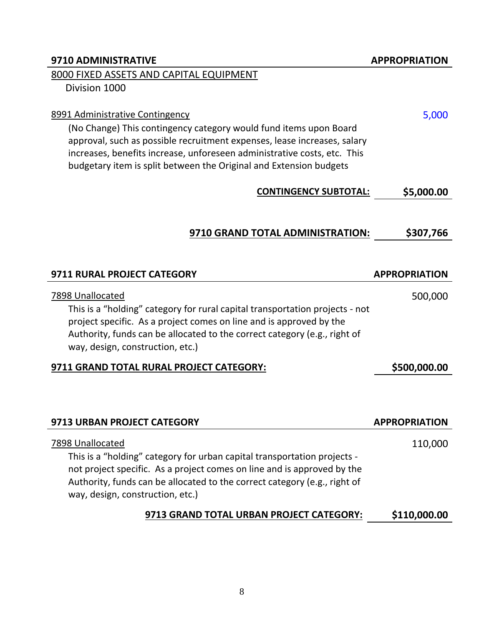# 8000 FIXED ASSETS AND CAPITAL EQUIPMENT Division 1000 8991 Administrative Contingency 6.000 Services and the services of the Services of the Services of the Services of the Services of the Services of the Services of the Services of the Services of the Services of the Service (No Change) This contingency category would fund items upon Board approval, such as possible recruitment expenses, lease increases, salary increases, benefits increase, unforeseen administrative costs, etc. This budgetary item is split between the Original and Extension budgets **CONTINGENCY SUBTOTAL: \$5,000.00 9710 GRAND TOTAL ADMINISTRATION: \$307,766 9711 RURAL PROJECT CATEGORY**  APPROPRIATION 7898 Unallocated 500,000 This is a "holding" category for rural capital transportation projects - not project specific. As a project comes on line and is approved by the Authority, funds can be allocated to the correct category (e.g., right of way, design, construction, etc.) **9711 GRAND TOTAL RURAL PROJECT CATEGORY: \$500,000.00 9713 URBAN PROJECT CATEGORY APPROPRIATION** 7898 Unallocated 110,000 This is a "holding" category for urban capital transportation projects not project specific. As a project comes on line and is approved by the Authority, funds can be allocated to the correct category (e.g., right of way, design, construction, etc.) **9713 GRAND TOTAL URBAN PROJECT CATEGORY: \$110,000.00**

**9710 ADMINISTRATIVE APPROPRIATION**